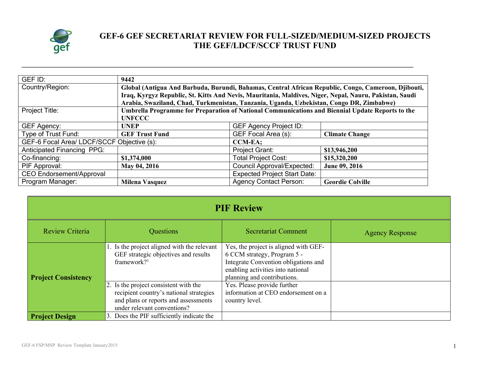

## **GEF-6 GEF SECRETARIAT REVIEW FOR FULL-SIZED/MEDIUM-SIZED PROJECTS THE GEF/LDCF/SCCF TRUST FUND**

| GEF ID:                                                      | 9442                                                                                                   |                                     |                         |  |
|--------------------------------------------------------------|--------------------------------------------------------------------------------------------------------|-------------------------------------|-------------------------|--|
| Country/Region:                                              | Global (Antigua And Barbuda, Burundi, Bahamas, Central African Republic, Congo, Cameroon, Djibouti,    |                                     |                         |  |
|                                                              | Iraq, Kyrgyz Republic, St. Kitts And Nevis, Mauritania, Maldives, Niger, Nepal, Nauru, Pakistan, Saudi |                                     |                         |  |
|                                                              | Arabia, Swaziland, Chad, Turkmenistan, Tanzania, Uganda, Uzbekistan, Congo DR, Zimbabwe)               |                                     |                         |  |
| Project Title:                                               | Umbrella Programme for Preparation of National Communications and Biennial Update Reports to the       |                                     |                         |  |
|                                                              | <b>UNFCCC</b>                                                                                          |                                     |                         |  |
| GEF Agency:                                                  | <b>UNEP</b>                                                                                            | <b>GEF Agency Project ID:</b>       |                         |  |
| Type of Trust Fund:                                          | <b>GEF Trust Fund</b>                                                                                  | GEF Focal Area (s):                 | <b>Climate Change</b>   |  |
| GEF-6 Focal Area/ LDCF/SCCF Objective (s):<br><b>CCM-EA:</b> |                                                                                                        |                                     |                         |  |
| <b>Anticipated Financing PPG:</b>                            |                                                                                                        | Project Grant:                      | \$13,946,200            |  |
| Co-financing:                                                | \$1,374,000                                                                                            | <b>Total Project Cost:</b>          | \$15,320,200            |  |
| PIF Approval:                                                | May 04, 2016                                                                                           | Council Approval/Expected:          | June 09, 2016           |  |
| <b>CEO Endorsement/Approval</b>                              |                                                                                                        | <b>Expected Project Start Date:</b> |                         |  |
| Program Manager:                                             | Milena Vasquez                                                                                         | <b>Agency Contact Person:</b>       | <b>Geordie Colville</b> |  |

**\_\_\_\_\_\_\_\_\_\_\_\_\_\_\_\_\_\_\_\_\_\_\_\_\_\_\_\_\_\_\_\_\_\_\_\_\_\_\_\_\_\_\_\_\_\_\_\_\_\_\_\_\_\_\_\_\_\_\_\_\_\_\_\_\_\_\_\_\_\_\_\_\_\_\_\_\_\_\_\_\_\_\_\_\_\_\_\_\_\_\_\_\_\_\_\_\_\_\_\_\_\_\_\_\_\_\_\_\_\_\_\_\_\_\_\_\_\_**

| <b>PIF Review</b>          |                                                                                                                                                         |                                                                                                                                                                                  |                        |  |
|----------------------------|---------------------------------------------------------------------------------------------------------------------------------------------------------|----------------------------------------------------------------------------------------------------------------------------------------------------------------------------------|------------------------|--|
| Review Criteria            | Questions                                                                                                                                               | <b>Secretariat Comment</b>                                                                                                                                                       | <b>Agency Response</b> |  |
| <b>Project Consistency</b> | 1. Is the project aligned with the relevant<br>GEF strategic objectives and results<br>framework? $1$                                                   | Yes, the project is aligned with GEF-<br>6 CCM strategy, Program 5 -<br>Integrate Convention obligations and<br>enabling activities into national<br>planning and contributions. |                        |  |
|                            | 2. Is the project consistent with the<br>recipient country's national strategies<br>and plans or reports and assessments<br>under relevant conventions? | Yes. Please provide further<br>information at CEO endorsement on a<br>country level.                                                                                             |                        |  |
| <b>Project Design</b>      | 3. Does the PIF sufficiently indicate the                                                                                                               |                                                                                                                                                                                  |                        |  |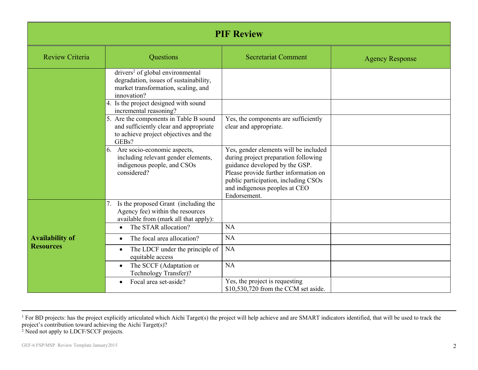| <b>PIF Review</b>      |                                                                                                                                              |                                                                                                                                                                                                                                                   |                        |
|------------------------|----------------------------------------------------------------------------------------------------------------------------------------------|---------------------------------------------------------------------------------------------------------------------------------------------------------------------------------------------------------------------------------------------------|------------------------|
| <b>Review Criteria</b> | Questions                                                                                                                                    | <b>Secretariat Comment</b>                                                                                                                                                                                                                        | <b>Agency Response</b> |
|                        | drivers <sup>2</sup> of global environmental<br>degradation, issues of sustainability,<br>market transformation, scaling, and<br>innovation? |                                                                                                                                                                                                                                                   |                        |
|                        | 4. Is the project designed with sound<br>incremental reasoning?<br>5. Are the components in Table B sound                                    | Yes, the components are sufficiently                                                                                                                                                                                                              |                        |
|                        | and sufficiently clear and appropriate<br>to achieve project objectives and the<br>GEBs?                                                     | clear and appropriate.                                                                                                                                                                                                                            |                        |
|                        | 6. Are socio-economic aspects,<br>including relevant gender elements,<br>indigenous people, and CSOs<br>considered?                          | Yes, gender elements will be included<br>during project preparation following<br>guidance developed by the GSP.<br>Please provide further information on<br>public participation, including CSOs<br>and indigenous peoples at CEO<br>Endorsement. |                        |
|                        | Is the proposed Grant (including the<br>7.<br>Agency fee) within the resources<br>available from (mark all that apply):                      |                                                                                                                                                                                                                                                   |                        |
| <b>Availability of</b> | The STAR allocation?<br>$\bullet$<br>The focal area allocation?                                                                              | <b>NA</b><br>NA                                                                                                                                                                                                                                   |                        |
| <b>Resources</b>       | The LDCF under the principle of<br>equitable access                                                                                          | <b>NA</b>                                                                                                                                                                                                                                         |                        |
|                        | The SCCF (Adaptation or<br>$\bullet$<br>Technology Transfer)?                                                                                | <b>NA</b>                                                                                                                                                                                                                                         |                        |
|                        | Focal area set-aside?                                                                                                                        | Yes, the project is requesting<br>\$10,530,720 from the CCM set aside.                                                                                                                                                                            |                        |

<sup>1</sup> For BD projects: has the project explicitly articulated which Aichi Target(s) the project will help achieve and are SMART indicators identified, that will be used to track the project's contribution toward achieving the Aichi Target(s)?

<sup>2</sup> Need not apply to LDCF/SCCF projects.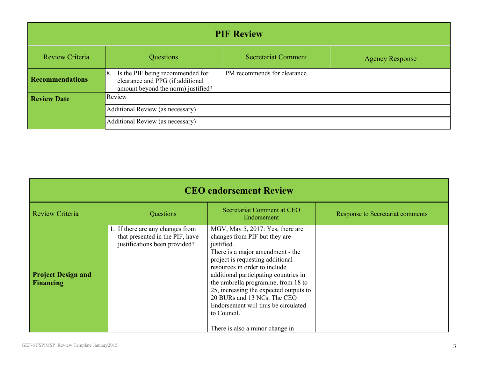| <b>PIF Review</b>      |                                                                                                                  |                              |                        |  |
|------------------------|------------------------------------------------------------------------------------------------------------------|------------------------------|------------------------|--|
| Review Criteria        | Questions                                                                                                        | <b>Secretariat Comment</b>   | <b>Agency Response</b> |  |
| <b>Recommendations</b> | Is the PIF being recommended for<br>8.<br>clearance and PPG (if additional<br>amount beyond the norm) justified? | PM recommends for clearance. |                        |  |
| <b>Review Date</b>     | Review                                                                                                           |                              |                        |  |
|                        | Additional Review (as necessary)                                                                                 |                              |                        |  |
|                        | Additional Review (as necessary)                                                                                 |                              |                        |  |

| <b>CEO</b> endorsement Review                 |                                                                                                      |                                                                                                                                                                                                                                                                                                                                                                                                                                           |                                  |
|-----------------------------------------------|------------------------------------------------------------------------------------------------------|-------------------------------------------------------------------------------------------------------------------------------------------------------------------------------------------------------------------------------------------------------------------------------------------------------------------------------------------------------------------------------------------------------------------------------------------|----------------------------------|
| <b>Review Criteria</b>                        | Questions                                                                                            | Secretariat Comment at CEO<br>Endorsement                                                                                                                                                                                                                                                                                                                                                                                                 | Response to Secretariat comments |
| <b>Project Design and</b><br><b>Financing</b> | 1. If there are any changes from<br>that presented in the PIF, have<br>justifications been provided? | MGV, May 5, 2017: Yes, there are<br>changes from PIF but they are<br>justified.<br>There is a major amendment - the<br>project is requesting additional<br>resources in order to include<br>additional participating countries in<br>the umbrella programme, from 18 to<br>25, increasing the expected outputs to<br>20 BURs and 13 NCs. The CEO<br>Endorsement will thus be circulated<br>to Council.<br>There is also a minor change in |                                  |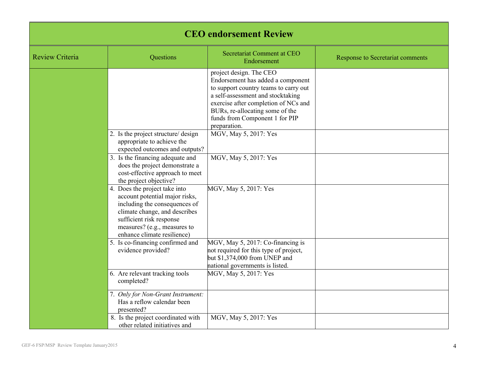| <b>CEO</b> endorsement Review |                                                                                                                                                                                                                              |                                                                                                                                                                                                                                                                         |                                         |
|-------------------------------|------------------------------------------------------------------------------------------------------------------------------------------------------------------------------------------------------------------------------|-------------------------------------------------------------------------------------------------------------------------------------------------------------------------------------------------------------------------------------------------------------------------|-----------------------------------------|
| <b>Review Criteria</b>        | Questions                                                                                                                                                                                                                    | Secretariat Comment at CEO<br>Endorsement                                                                                                                                                                                                                               | <b>Response to Secretariat comments</b> |
|                               |                                                                                                                                                                                                                              | project design. The CEO<br>Endorsement has added a component<br>to support country teams to carry out<br>a self-assessment and stocktaking<br>exercise after completion of NCs and<br>BURs, re-allocating some of the<br>funds from Component 1 for PIP<br>preparation. |                                         |
|                               | 2. Is the project structure/ design<br>appropriate to achieve the<br>expected outcomes and outputs?                                                                                                                          | MGV, May 5, 2017: Yes                                                                                                                                                                                                                                                   |                                         |
|                               | 3. Is the financing adequate and<br>does the project demonstrate a<br>cost-effective approach to meet<br>the project objective?                                                                                              | MGV, May 5, 2017: Yes                                                                                                                                                                                                                                                   |                                         |
|                               | 4. Does the project take into<br>account potential major risks,<br>including the consequences of<br>climate change, and describes<br>sufficient risk response<br>measures? (e.g., measures to<br>enhance climate resilience) | MGV, May 5, 2017: Yes                                                                                                                                                                                                                                                   |                                         |
|                               | 5. Is co-financing confirmed and<br>evidence provided?                                                                                                                                                                       | MGV, May 5, 2017: Co-financing is<br>not required for this type of project,<br>but \$1,374,000 from UNEP and<br>national governments is listed.                                                                                                                         |                                         |
|                               | 6. Are relevant tracking tools<br>completed?                                                                                                                                                                                 | MGV, May 5, 2017: Yes                                                                                                                                                                                                                                                   |                                         |
|                               | 7. Only for Non-Grant Instrument:<br>Has a reflow calendar been<br>presented?                                                                                                                                                |                                                                                                                                                                                                                                                                         |                                         |
|                               | 8. Is the project coordinated with<br>other related initiatives and                                                                                                                                                          | MGV, May 5, 2017: Yes                                                                                                                                                                                                                                                   |                                         |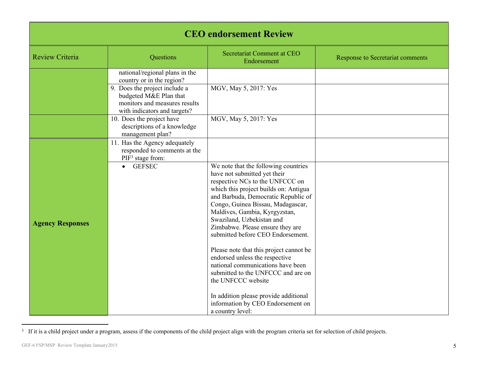| <b>CEO</b> endorsement Review |                                                                                                                                                                                         |                                                                                                                                                                                                                                                                                                                                                                                                                                                                                                                                                                                                                                                     |                                         |
|-------------------------------|-----------------------------------------------------------------------------------------------------------------------------------------------------------------------------------------|-----------------------------------------------------------------------------------------------------------------------------------------------------------------------------------------------------------------------------------------------------------------------------------------------------------------------------------------------------------------------------------------------------------------------------------------------------------------------------------------------------------------------------------------------------------------------------------------------------------------------------------------------------|-----------------------------------------|
| <b>Review Criteria</b>        | Questions                                                                                                                                                                               | Secretariat Comment at CEO<br>Endorsement                                                                                                                                                                                                                                                                                                                                                                                                                                                                                                                                                                                                           | <b>Response to Secretariat comments</b> |
|                               | national/regional plans in the<br>country or in the region?<br>9. Does the project include a<br>budgeted M&E Plan that<br>monitors and measures results<br>with indicators and targets? | MGV, May 5, 2017: Yes                                                                                                                                                                                                                                                                                                                                                                                                                                                                                                                                                                                                                               |                                         |
|                               | 10. Does the project have<br>descriptions of a knowledge<br>management plan?                                                                                                            | MGV, May 5, 2017: Yes                                                                                                                                                                                                                                                                                                                                                                                                                                                                                                                                                                                                                               |                                         |
| <b>Agency Responses</b>       | 11. Has the Agency adequately<br>responded to comments at the<br>PIF <sup>3</sup> stage from:<br><b>GEFSEC</b>                                                                          | We note that the following countries<br>have not submitted yet their<br>respective NCs to the UNFCCC on<br>which this project builds on: Antigua<br>and Barbuda, Democratic Republic of<br>Congo, Guinea Bissau, Madagascar,<br>Maldives, Gambia, Kyrgyzstan,<br>Swaziland, Uzbekistan and<br>Zimbabwe. Please ensure they are<br>submitted before CEO Endorsement.<br>Please note that this project cannot be<br>endorsed unless the respective<br>national communications have been<br>submitted to the UNFCCC and are on<br>the UNFCCC website<br>In addition please provide additional<br>information by CEO Endorsement on<br>a country level: |                                         |

<sup>&</sup>lt;sup>3</sup> If it is a child project under a program, assess if the components of the child project align with the program criteria set for selection of child projects.